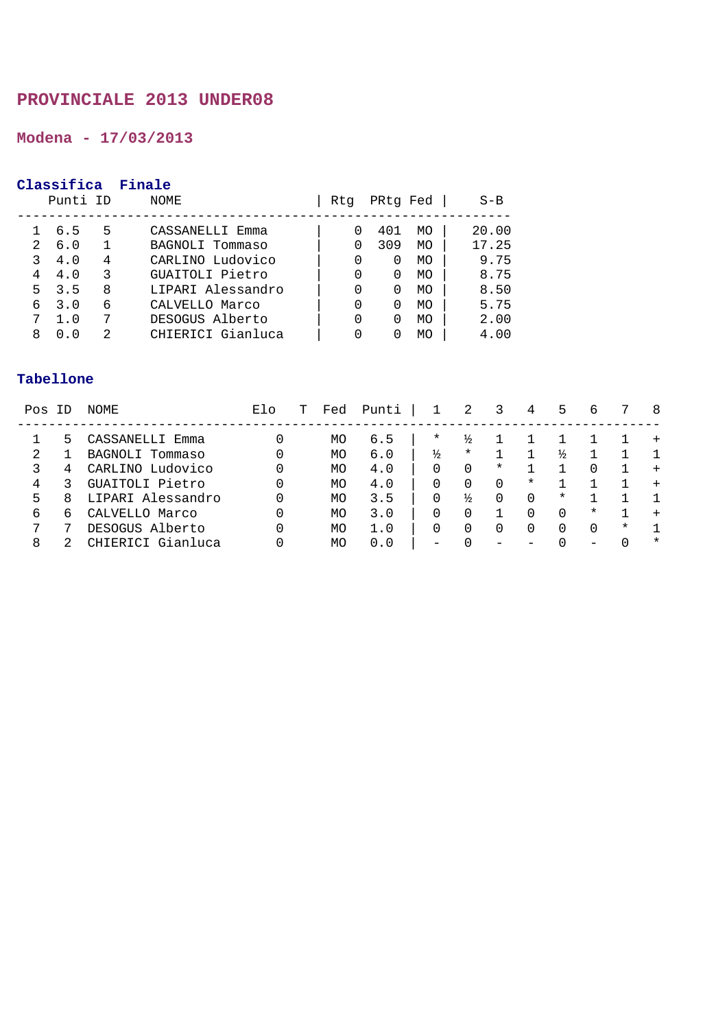# **Modena - 17/03/2013**

# **Classifica Finale**

|         | Punti ID   |        | NOME                                 | Rtq | PRtg Fed              |          | $S-B$          |
|---------|------------|--------|--------------------------------------|-----|-----------------------|----------|----------------|
| 2.      | 6.5<br>6.0 | 5      | CASSANELLI Emma<br>BAGNOLI Tommaso   |     | 401<br>309            | MO<br>MO | 20.00<br>17.25 |
|         | 4.0        |        | CARLINO Ludovico                     |     | 0                     | MO       | 9.75           |
| 4<br>5. | 4.0<br>3.5 | 3<br>8 | GUAITOLI Pietro<br>LIPARI Alessandro |     | 0<br>$\left( \right)$ | MO<br>MO | 8.75<br>8.50   |
| 6       | 3.0<br>1.0 | 6      | CALVELLO Marco<br>DESOGUS Alberto    |     | 0                     | MO<br>MO | 5.75<br>2.00   |
| 8       | 0.0        | 2      | CHIERICI Gianluca                    |     | $\left( \right)$      | MO       | 4.00           |

| Pos | ΙD | NOME              | Elo | т | Fed | Punti |               | 2        | 3        | 4      | 5        | 6      |        | 8       |
|-----|----|-------------------|-----|---|-----|-------|---------------|----------|----------|--------|----------|--------|--------|---------|
|     | ר  | CASSANELLI Emma   | 0   |   | MO  | 6.5   | $^\star$      | ⅓        |          |        |          |        |        | $^{+}$  |
|     |    | BAGNOLI Tommaso   | 0   |   | MO  | 6.0   | $\frac{1}{2}$ | $^\star$ |          |        | ⅓        |        |        |         |
|     | 4  | CARLINO Ludovico  | 0   |   | MO  | 4.0   | 0             | 0        | $^\star$ |        |          | 0      |        | $^{+}$  |
| 4   |    | GUAITOLI Pietro   | 0   |   | MO  | 4.0   | 0             |          |          | $\ast$ |          |        |        | $^{+}$  |
| 5   | 8  | LIPARI Alessandro | 0   |   | MO  | 3.5   | 0             | ⅓        |          | 0      | $^\star$ |        |        |         |
| 6   | h  | CALVELLO Marco    | 0   |   | MO  | 3.0   | 0             |          |          |        | 0        | $\ast$ |        |         |
| ヮ   |    | DESOGUS Alberto   | 0   |   | MO  | 1.0   | 0             |          |          |        |          | 0      | $\ast$ |         |
| 8   |    | CHIERICI Gianluca |     |   | MO  | 0.0   |               |          |          |        |          |        |        | $\star$ |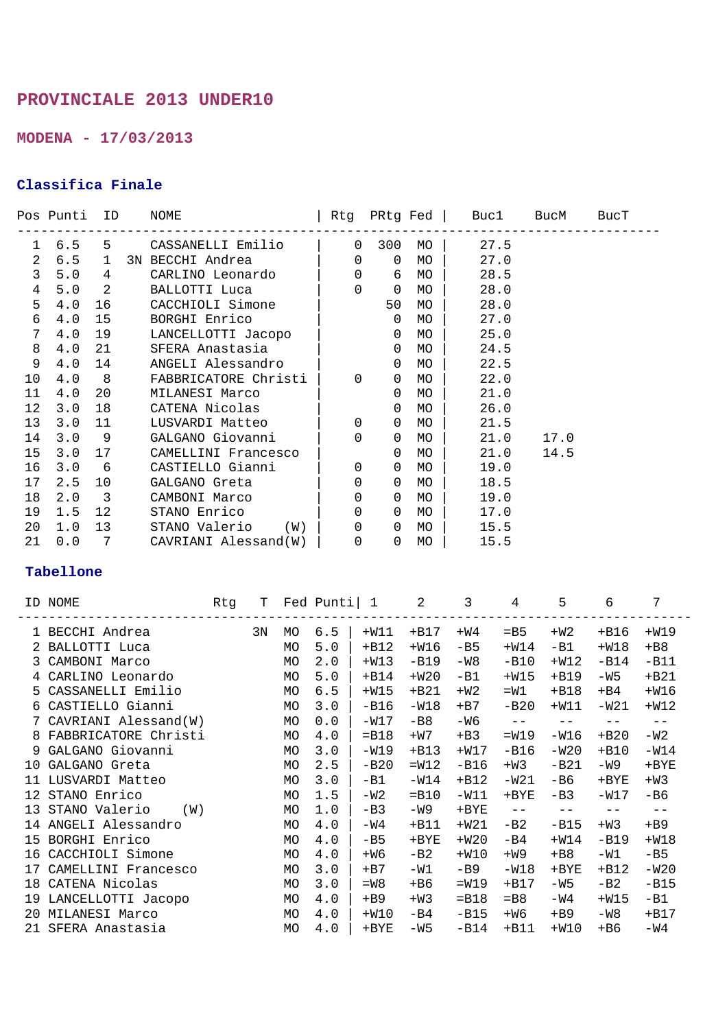**MODENA - 17/03/2013** 

## **Classifica Finale**

|                |               |                         | Pos Punti ID NOME                            |                |                  |    | Rtg PRtg Fed   Buc1 BucM BucT     |      |  |
|----------------|---------------|-------------------------|----------------------------------------------|----------------|------------------|----|-----------------------------------|------|--|
|                |               |                         | 1 6.5 5 CASSANELLI Emilio   0 300 MO   27.5  |                |                  |    | --------------------------------- |      |  |
|                |               |                         | 2 6.5 1 3N BECCHI Andrea 1                   |                | $0$ 0 MO $\vert$ |    | 27.0                              |      |  |
| 3              | $5.0 \t 4$    |                         | CARLINO Leonardo                             |                | 0 6 MO           |    | 28.5                              |      |  |
| $\overline{4}$ | 5.0           |                         | 2 BALLOTTI Luca                              |                | $0$ 0 MO         |    | 28.0                              |      |  |
| 5              | 4.0           | 16                      | CACCHIOLI Simone                             |                | 50               | MO | 28.0                              |      |  |
| 6              | 4.0           | 15                      | BORGHI Enrico                                |                | $\overline{0}$   | MO | 27.0                              |      |  |
| $7\phantom{.}$ | 4.0           |                         | 19 LANCELLOTTI Jacopo                        |                | $\overline{0}$   | MO | 25.0                              |      |  |
| 8              | 4.0           | 21                      | SFERA Anastasia                              | $\overline{a}$ |                  | MO | 24.5                              |      |  |
| 9              | 4.0           | 14                      | ANGELI Alessandro                            |                | $\overline{0}$   | MO | 22.5                              |      |  |
| $10 \,$        | 4.0           |                         | 8 FABBRICATORE Christi                       | $\overline{0}$ | $\overline{0}$   | MO | 22.0                              |      |  |
| 11             | 4.0           | 20                      | MILANESI Marco                               |                | $\overline{0}$   | MO | 21.0                              |      |  |
| $12 \,$        | 3.0           | 18                      | CATENA Nicolas                               |                | $\overline{0}$   | MO | 26.0                              |      |  |
| 13             | 3.0           | 11                      | LUSVARDI Matteo                              | $\overline{0}$ | $\overline{0}$   | MO | 21.5                              |      |  |
| 14             | 3.0           | $\overline{9}$          | GALGANO Giovanni                             | $\Omega$       | $\overline{0}$   | MO | 21.0                              | 17.0 |  |
| 15             | 3.0           | 17                      | CAMELLINI Francesco                          |                | $\overline{0}$   | MO | 21.0                              | 14.5 |  |
| 16             | 3.0           | $6\overline{6}$         | CASTIELLO Gianni   0                         |                | $\overline{0}$   | MO | 19.0                              |      |  |
| 17             | 2.5           | 10                      | GALGANO Greta                                | 0              | $\overline{0}$   | MO | 18.5                              |      |  |
| 18             | $2 \, . \, 0$ | $\overline{\mathbf{3}}$ | CAMBONI Marco                                | $\overline{0}$ | $\overline{0}$   | MO | 19.0                              |      |  |
| 19             | 1.5           | 12                      | STANO Enrico                                 | $\Omega$       | $\overline{0}$   | MO | 17.0                              |      |  |
| 20             | $1.0$ 13      |                         | STANO Valerio (W)   0 0 MO                   |                |                  |    | 15.5                              |      |  |
| 21             | 0.0           |                         | 7     CAVRIANI Alessand(W)      0     0   MO |                |                  |    | 15.5                              |      |  |

|     | ID NOME                | Rtg | Т  |           | Fed Punti  1 |         | 2       | 3       | 4         | 5       | 6       | 7       |
|-----|------------------------|-----|----|-----------|--------------|---------|---------|---------|-----------|---------|---------|---------|
|     | 1 BECCHI Andrea        |     | 3N | MO        | 6.5          | $+W11$  | $+B17$  | $+W4$   | $=$ B5    | $+W2$   | $+B16$  | $+W19$  |
|     | 2 BALLOTTI Luca        |     |    | <b>MO</b> | 5.0          | $+B12$  | $+W16$  | $-B5$   | $+W14$    | $-B1$   | $+W18$  | $+B8$   |
| 3   | CAMBONI Marco          |     |    | <b>MO</b> | 2.0          | $+W13$  | $-B19$  | -W8     | $-B10$    | $+W12$  | $-B14$  | $-B11$  |
|     | CARLINO Leonardo       |     |    | <b>MO</b> | 5.0          | $+B14$  | $+W20$  | $-B1$   | $+W15$    | $+B19$  | $-W5$   | $+B21$  |
| 5.  | CASSANELLI Emilio      |     |    | <b>MO</b> | 6.5          | $+W15$  | $+B21$  | $+W2$   | $=W1$     | $+B18$  | $+B4$   | $+W16$  |
| 6   | CASTIELLO Gianni       |     |    | <b>MO</b> | 3.0          | $-B16$  | $-W18$  | $+B7$   | $-B20$    | $+W11$  | $-W21$  | $+W12$  |
|     | CAVRIANI Alessand(W)   |     |    | MO        | 0.0          | $-W17$  | $-B8$   | $-W6$   | $-\ -$    | $- -$   | $- -$   | $- -$   |
|     | 8 FABBRICATORE Christi |     |    | <b>MO</b> | 4.0          | $=$ B18 | $+W7$   | $+B3$   | $=W19$    | $-W16$  | $+B20$  | $-W2$   |
| 9   | GALGANO Giovanni       |     |    | <b>MO</b> | 3.0          | $-W19$  | $+B13$  | $+W17$  | $-B16$    | $-W20$  | $+B10$  | $-W14$  |
| 10  | GALGANO Greta          |     |    | <b>MO</b> | 2.5          | $-B20$  | $=W12$  | $-B16$  | $+W3$     | $-B21$  | -W9     | $+$ BYE |
| 11  | LUSVARDI Matteo        |     |    | МO        | 3.0          | $-B1$   | $-W14$  | $+B12$  | -W21      | -в6     | $+$ BYE | $+W3$   |
| 12. | STANO Enrico           |     |    | <b>MO</b> | 1.5          | $-W2$   | $=$ B10 | $-W11$  | $+$ BYE   | $-B3$   | $-W17$  | -B6     |
| 13  | STANO Valerio<br>(W)   |     |    | <b>MO</b> | 1.0          | $-B3$   | -W9     | $+$ BYE | $-\ -$    | $- -$   | $ -$    | $- -$   |
| 14  | ANGELI Alessandro      |     |    | <b>MO</b> | 4.0          | -W4     | $+B11$  | $+W21$  | $-B2$     | $-B15$  | $+W3$   | $+B9$   |
| 15  | BORGHI Enrico          |     |    | MO        | 4.0          | $-B5$   | $+$ BYE | $+W20$  | -B4       | $+W14$  | $-B19$  | $+W18$  |
| 16  | CACCHIOLI Simone       |     |    | <b>MO</b> | 4.0          | $+ W6$  | $-B2$   | $+W10$  | $+W9$     | $+B8$   | $-W1$   | $-B5$   |
| 17  | CAMELLINI Francesco    |     |    | <b>MO</b> | 3.0          | $+ B7$  | $-W1$   | $-B9$   | $-W18$    | $+$ BYE | $+B12$  | $-W20$  |
| 18  | CATENA Nicolas         |     |    | МO        | 3.0          | $= W8$  | +B6     | $=W19$  | $+B17$    | $-W5$   | -B2     | $-B15$  |
| 19  | LANCELLOTTI Jacopo     |     |    | MO        | 4.0          | $+B9$   | $+W3$   | $=$ B18 | $=$ B $8$ | $-W4$   | $+W15$  | $-B1$   |
| 20  | MILANESI Marco         |     |    | MO        | 4.0          | $+W10$  | $-B4$   | $-B15$  | $+W6$     | $+B9$   | -W8     | $+B17$  |
|     | 21 SFERA Anastasia     |     |    | <b>MO</b> | 4.0          | $+$ BYE | $-W5$   | $-B14$  | $+B11$    | $+W10$  | $+ B6$  | $-W4$   |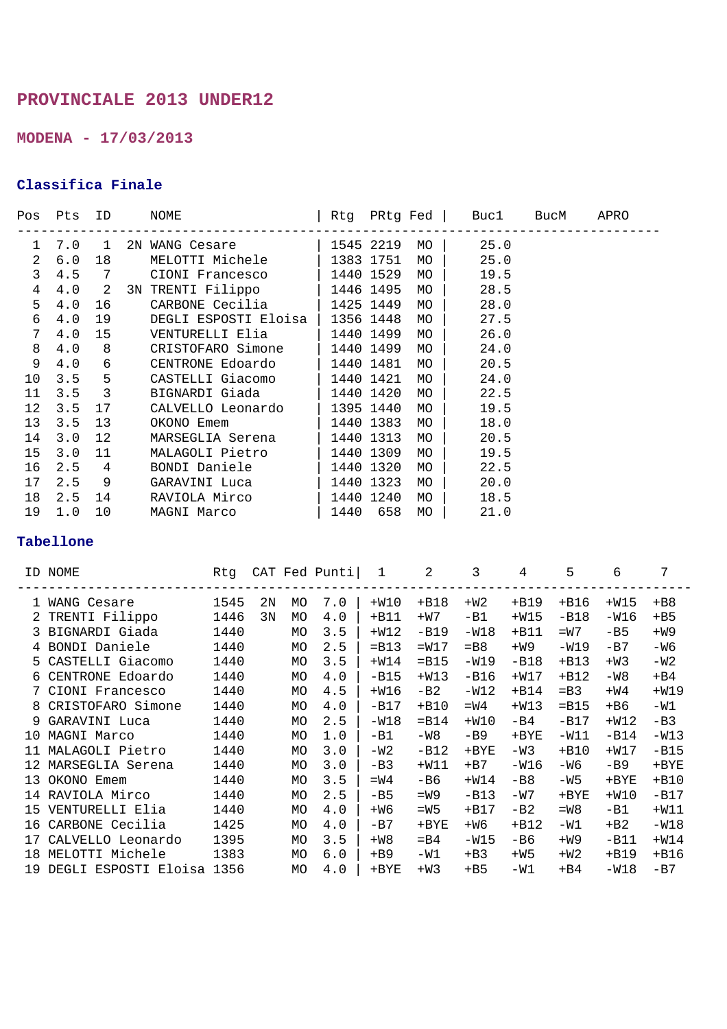**MODENA - 17/03/2013** 

## **Classifica Finale**

|                 | Pos Pts | ID                      | NOME                            |              |           |    | Rtg PRtg Fed   Buc1 BucM | APRO |
|-----------------|---------|-------------------------|---------------------------------|--------------|-----------|----|--------------------------|------|
|                 |         |                         | 1 7.0 1 2N WANG Cesare          | 1545 2219 MO |           |    | 25.0                     |      |
| $\overline{a}$  | 6.0     | 18                      | MELOTTI Michele                 | 1383 1751    |           | MO | 25.0                     |      |
| 3               | 4.5     | 7                       | CIONI Francesco   1440 1529     |              |           | MO | 19.5                     |      |
| $\overline{4}$  | 4.0     |                         | 2 3N TRENTI Filippo   1446 1495 |              |           | MO | 28.5                     |      |
| 5               | 4.0     | 16                      | CARBONE Cecilia   1425 1449     |              |           | MO | 28.0                     |      |
| 6               | 4.0     | 19                      | DEGLI ESPOSTI Eloisa            |              | 1356 1448 | MO | 27.5                     |      |
| $7\phantom{.}$  | 4.0     | 15                      |                                 |              | 1440 1499 | MO | 26.0                     |      |
| 8               | 4.0     | 8                       | CRISTOFARO Simone   1440 1499   |              |           | MO | 24.0                     |      |
| 9               | 4.0     | 6                       | CENTRONE Edoardo   1440 1481    |              |           | MO | 20.5                     |      |
| 10 <sub>o</sub> | 3.5     | 5 <sub>5</sub>          | CASTELLI Giacomo   1440 1421    |              |           | MO | 24.0                     |      |
| 11              | 3.5     | $\overline{\mathbf{3}}$ | BIGNARDI Giada   1440 1420      |              |           | MO | 22.5                     |      |
| 12 <sup>°</sup> | 3.5     | 17                      | CALVELLO Leonardo   1395 1440   |              |           | MO | 19.5                     |      |
| 13              | 3.5     | 13                      | OKONO Emem   1440 1383          |              |           | MO | 18.0                     |      |
| 14              | 3.0     | 12                      | MARSEGLIA Serena   1440 1313    |              |           | MO | 20.5                     |      |
| 15              | 3.0     | 11                      | MALAGOLI Pietro   1440 1309     |              |           | MO | 19.5                     |      |
| 16              | 2.5     | $\overline{4}$          | BONDI Daniele   1440 1320       |              |           | MO | 22.5                     |      |
| 17              | 2.5     | 9                       | GARAVINI Luca                   | $1440$ 1323  |           | MO | 20.0                     |      |
| 18              | 2.5     | 14                      | 1440 1240<br>RAVIOLA Mirco      |              |           | MO | 18.5                     |      |
| 19              | 1.0     | 10                      | MAGNI Marco                     | 1440 658     |           | MO | 21.0                     |      |

|     | ID NOME                   | Rtq  |    |           | CAT Fed Punti | 1       | 2       | 3         | 4       | 5       | 6       |         |
|-----|---------------------------|------|----|-----------|---------------|---------|---------|-----------|---------|---------|---------|---------|
|     | 1 WANG Cesare             | 1545 | 2Ν | <b>MO</b> | 7.0           | $+W10$  | $+B18$  | $+W2$     | $+B19$  | $+B16$  | $+W15$  | $+B8$   |
|     | 2 TRENTI Filippo          | 1446 | 3N | MO        | 4.0           | $+B11$  | $+W7$   | $-B1$     | $+W15$  | $-B18$  | $-W16$  | $+B5$   |
|     | 3 BIGNARDI Giada          | 1440 |    | <b>MO</b> | 3.5           | $+W12$  | $-B19$  | $-W18$    | $+B11$  | $=W7$   | $-B5$   | $+W9$   |
|     | 4 BONDI Daniele           | 1440 |    | <b>MO</b> | 2.5           | $=$ B13 | $=W17$  | $=$ B $8$ | $+W9$   | $-W19$  | $-B7$   | -W6     |
| 5.  | CASTELLI Giacomo          | 1440 |    | МO        | 3.5           | $+W14$  | $=$ B15 | -W19      | $-B18$  | $+B13$  | $+W3$   | -W2     |
|     | CENTRONE Edoardo          | 1440 |    | <b>MO</b> | 4.0           | $-B15$  | $+W13$  | $-B16$    | $+W17$  | $+B12$  | $-W8$   | $+B4$   |
|     | 7 CIONI Francesco         | 1440 |    | MO        | 4.5           | $+W16$  | $-B2$   | $-W12$    | $+B14$  | $=$ B3  | $+W4$   | $+W19$  |
|     | 8 CRISTOFARO Simone       | 1440 |    | <b>MO</b> | 4.0           | $-B17$  | $+B10$  | $=W4$     | $+W13$  | $=$ B15 | $+ B6$  | $-W1$   |
| 9   | GARAVINI Luca             | 1440 |    | <b>MO</b> | 2.5           | $-W18$  | $=$ B14 | $+W10$    | $-B4$   | $-B17$  | $+W12$  | $-B3$   |
| 1 O | MAGNI Marco               | 1440 |    | MO        | 1.0           | $-B1$   | $-W8$   | -B9       | $+$ BYE | $-W11$  | $-B14$  | $-W13$  |
| 11  | MALAGOLI Pietro           | 1440 |    | <b>MO</b> | 3.0           | -W2     | $-B12$  | $+$ BYE   | $-W3$   | $+B10$  | $+W17$  | $-B15$  |
| 12  | MARSEGLIA Serena          | 1440 |    | <b>MO</b> | 3.0           | $-B3$   | $+W11$  | $+B7$     | $-W16$  | -W6     | $-B9$   | $+$ BYE |
| 13  | OKONO Emem                | 1440 |    | <b>MO</b> | 3.5           | $=W4$   | -B6     | $+W14$    | $-B8$   | $-W5$   | $+$ BYE | $+B10$  |
|     | 14 RAVIOLA Mirco          | 1440 |    | <b>MO</b> | 2.5           | $-B5$   | $=W9$   | $-B13$    | $-W7$   | $+$ BYE | $+W10$  | $-B17$  |
| 15  | VENTURELLI Elia           | 1440 |    | <b>MO</b> | 4.0           | $+W6$   | $=W5$   | $+B17$    | $-B2$   | $=W8$   | $-B1$   | $+W11$  |
| 16  | CARBONE Cecilia           | 1425 |    | МO        | 4.0           | $-B7$   | $+$ BYE | $+W6$     | $+B12$  | $-W1$   | $+B2$   | $-W18$  |
| 17  | CALVELLO Leonardo         | 1395 |    | <b>MO</b> | 3.5           | $+W8$   | $=$ B4  | $-W15$    | $-B6$   | $+W9$   | $-B11$  | $+W14$  |
| 18  | MELOTTI Michele           | 1383 |    | <b>MO</b> | 6.0           | $+B9$   | $-W1$   | $+B3$     | $+W5$   | $+W2$   | $+B19$  | $+B16$  |
| 19  | DEGLI ESPOSTI Eloisa 1356 |      |    | MO        | 4.0           | $+$ BYE | $+W3$   | $+B5$     | $-W1$   | $+B4$   | $-W18$  | $-B7$   |